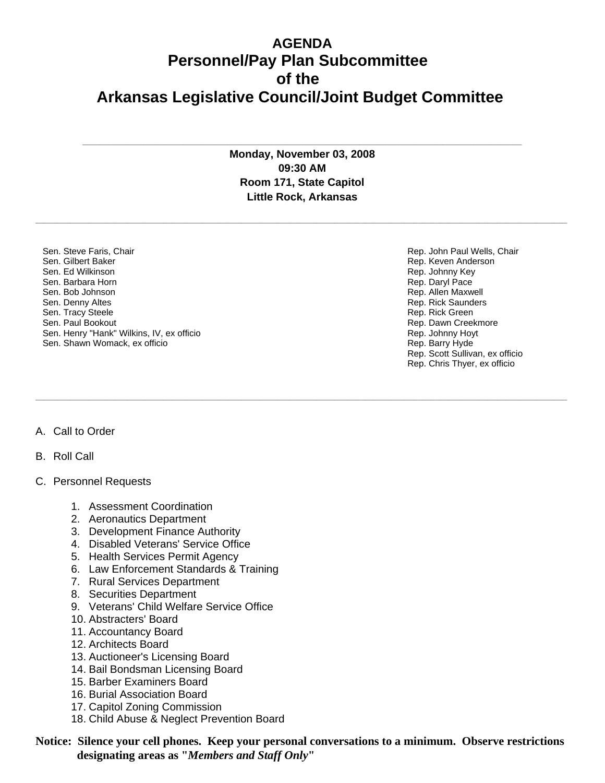## **AGENDA Personnel/Pay Plan Subcommittee of the Arkansas Legislative Council/Joint Budget Committee**

**Monday, November 03, 2008 09:30 AM Room 171, State Capitol Little Rock, Arkansas**

**\_\_\_\_\_\_\_\_\_\_\_\_\_\_\_\_\_\_\_\_\_\_\_\_\_\_\_\_\_\_\_\_\_\_\_\_\_\_\_\_\_\_\_\_\_\_\_\_\_\_\_\_\_\_\_\_\_\_\_\_\_\_\_\_\_\_\_\_\_\_\_\_\_\_\_\_\_\_\_\_\_\_\_\_\_\_\_\_\_\_\_\_\_\_\_\_\_\_\_\_\_\_\_\_\_\_\_\_\_\_\_\_\_\_\_\_\_\_\_\_\_** 

**\_\_\_\_\_\_\_\_\_\_\_\_\_\_\_\_\_\_\_\_\_\_\_\_\_\_\_\_\_\_\_\_\_\_\_\_\_\_\_\_\_\_\_\_\_\_\_\_\_\_\_\_\_\_\_\_\_\_\_\_\_\_\_\_\_\_\_\_\_\_\_\_\_\_\_\_\_\_\_\_\_\_\_\_\_\_\_\_\_\_\_\_\_\_\_\_\_\_\_\_\_\_\_\_\_\_\_\_\_\_\_\_\_\_\_\_\_\_\_\_\_** 

**\_\_\_\_\_\_\_\_\_\_\_\_\_\_\_\_\_\_\_\_\_\_\_\_\_\_\_\_\_\_\_\_\_\_\_\_\_\_\_\_\_\_\_\_\_\_\_\_\_\_\_\_\_\_\_\_\_\_\_\_\_\_\_\_\_\_\_\_\_\_\_\_\_\_\_\_\_\_\_\_\_\_\_\_\_\_\_\_\_\_\_\_\_\_\_\_\_\_\_\_**

Sen. Steve Faris, Chair Sen. Gilbert Baker Sen. Ed Wilkinson Sen. Barbara Horn Sen. Bob Johnson Sen. Denny Altes Sen. Tracy Steele Sen. Paul Bookout Sen. Henry "Hank" Wilkins, IV, ex officio Sen. Shawn Womack, ex officio

Rep. John Paul Wells, Chair Rep. Keven Anderson Rep. Johnny Key Rep. Daryl Pace Rep. Allen Maxwell Rep. Rick Saunders Rep. Rick Green Rep. Dawn Creekmore Rep. Johnny Hoyt Rep. Barry Hyde Rep. Scott Sullivan, ex officio Rep. Chris Thyer, ex officio

## A. Call to Order

## B. Roll Call

## C. Personnel Requests

- 1. Assessment Coordination
- 2. Aeronautics Department
- 3. Development Finance Authority
- 4. Disabled Veterans' Service Office
- 5. Health Services Permit Agency
- 6. Law Enforcement Standards & Training
- 7. Rural Services Department
- 8. Securities Department
- 9. Veterans' Child Welfare Service Office
- 10. Abstracters' Board
- 11. Accountancy Board
- 12. Architects Board
- 13. Auctioneer's Licensing Board
- 14. Bail Bondsman Licensing Board
- 15. Barber Examiners Board
- 16. Burial Association Board
- 17. Capitol Zoning Commission
- 18. Child Abuse & Neglect Prevention Board

**Notice: Silence your cell phones. Keep your personal conversations to a minimum. Observe restrictions designating areas as "***Members and Staff Only***"**